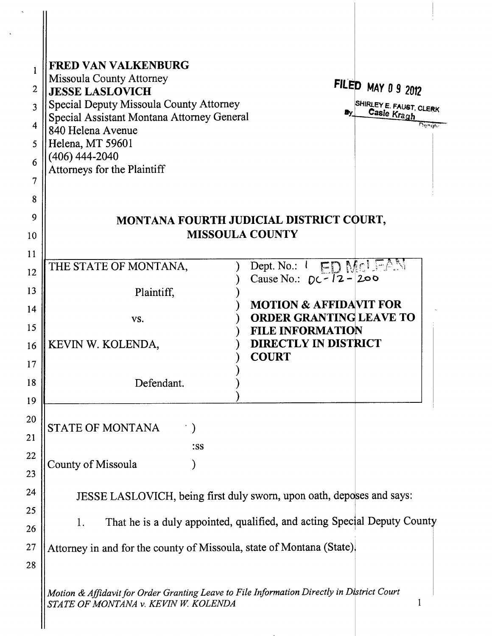| $\mathbf{1}$   | <b>FRED VAN VALKENBURG</b>                                                                                                         |                                                              |                           |
|----------------|------------------------------------------------------------------------------------------------------------------------------------|--------------------------------------------------------------|---------------------------|
| 2              | <b>Missoula County Attorney</b><br><b>JESSE LASLOVICH</b>                                                                          |                                                              | <b>FILED MAY 0 9 2012</b> |
| 3              | Special Deputy Missoula County Attorney                                                                                            |                                                              | SHIRLEY E. FAUST, CLERK   |
| $\overline{4}$ | Special Assistant Montana Attorney General                                                                                         |                                                              | Casie Kragh<br>والإقلاص   |
| 5              | 840 Helena Avenue<br>Helena, MT 59601                                                                                              |                                                              |                           |
| 6              | $(406)$ 444-2040                                                                                                                   |                                                              |                           |
| 7              | Attorneys for the Plaintiff                                                                                                        |                                                              |                           |
|                |                                                                                                                                    |                                                              |                           |
| 8              |                                                                                                                                    |                                                              |                           |
| 9              | MONTANA FOURTH JUDICIAL DISTRICT COURT,<br><b>MISSOULA COUNTY</b>                                                                  |                                                              |                           |
| 10             |                                                                                                                                    |                                                              |                           |
| 11             | THE STATE OF MONTANA,                                                                                                              | Dept. No.: I ED MCLEAN                                       |                           |
| 12             |                                                                                                                                    | Cause No.: $DC-12-200$                                       |                           |
| 13             | Plaintiff,                                                                                                                         |                                                              |                           |
| 14             | VS.                                                                                                                                | <b>MOTION &amp; AFFIDAVIT FOR</b><br>ORDER GRANTING LEAVE TO |                           |
| 15             |                                                                                                                                    | <b>FILE INFORMATION</b>                                      |                           |
| 16             | KEVIN W. KOLENDA,                                                                                                                  | <b>DIRECTLY IN DISTRICT</b>                                  |                           |
| 17             |                                                                                                                                    | <b>COURT</b>                                                 |                           |
| 18             | Defendant.                                                                                                                         |                                                              |                           |
| 19             |                                                                                                                                    |                                                              |                           |
| 20             |                                                                                                                                    |                                                              |                           |
| 21             | <b>STATE OF MONTANA</b><br>$\cdot$ )                                                                                               |                                                              |                           |
| 22             | :SS                                                                                                                                |                                                              |                           |
| 23             | County of Missoula                                                                                                                 |                                                              |                           |
| 24             | JESSE LASLOVICH, being first duly sworn, upon oath, deposes and says:                                                              |                                                              |                           |
| 25             |                                                                                                                                    |                                                              |                           |
| 26             | That he is a duly appointed, qualified, and acting Special Deputy County<br>1.                                                     |                                                              |                           |
| 27             | Attorney in and for the county of Missoula, state of Montana (State).                                                              |                                                              |                           |
| 28             |                                                                                                                                    |                                                              |                           |
|                |                                                                                                                                    |                                                              |                           |
|                | Motion & Affidavit for Order Granting Leave to File Information Directly in District Court<br>STATE OF MONTANA v. KEVIN W. KOLENDA |                                                              |                           |
|                |                                                                                                                                    |                                                              |                           |

 $\ddot{\phantom{0}}$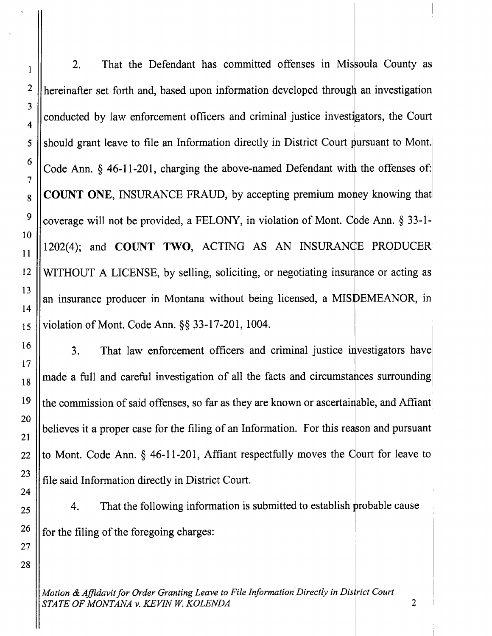2. That the Defendant has committed offenses in Missoula County as hereinafter set forth and, based upon information developed an investigation conducted by law enforcement officers and criminal justice investigators, the Court should grant leave to file an Information directly in District Court pursuant to Mont. Code Ann.  $\S$  46-11-201, charging the above-named Defendant with the offenses of: **COUNT ONE, INSURANCE FRAUD, by accepting premium money knowing that** coverage will not be provided, a FELONY, in violation of Mont. Code Ann.  $\S 33$ -1-WITHOUT A LICENSE, by selling, soliciting, or negotiating insurance or acting as an insurance producer in Montana without being licensed, a MISDEMEANOR, in violation of Mont. Code Ann. \$\$ 33-17-201,1004. 1202(4); and COUNT TWO, ACTING AS AN INSURANCE PRODUCER

I

2

3

4

5

6

7

8

9

r0

l1

12

l3

l4

l5

16

I7

18

19

20

2l

22

23

24

25

26

27

28

3. That law enforcement officers and criminal justice investigators have made a full and careful investigation of all the facts and circum stances surrounding the commission of said offenses, so far as they are known or ascertainable, and Affiant believes it a proper case for the filing of an Information. For this reason and pursuant to Mont. Code Ann.  $\S$  46-11-201, Affiant respectfully moves the Court for leave to file said Information directlv in District Court.

4. That the following information is submitted to establish probable cause for the filing of the foregoing charges:

Motion & Affidavit for Order Granting Leave to File Information Directly in District Court STATE OF MONTANA v. KEVIN W. KOLENDA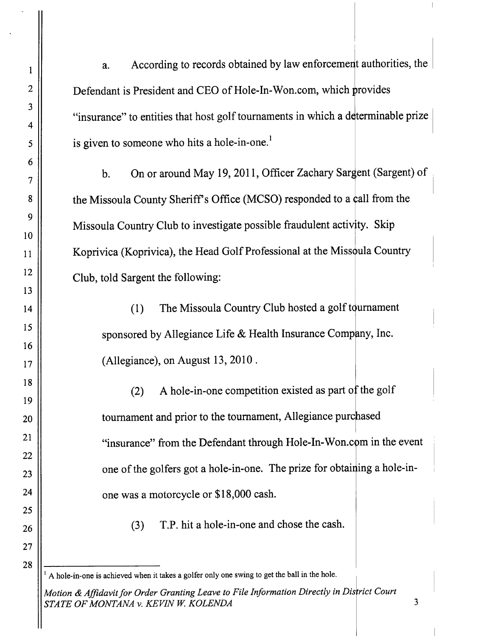a. According to records obtained by law enforcement authorities, the Defendant is President and CEO of Hole-In-Won.com, which provides "insurance" to entities that host golf tournaments in which a determinable prize is given to someone who hits a hole-in-one.<sup>1</sup>

b. On or around May 19, 2011, Officer Zachary Sargent (Sargent) of the Missoula County Sheriff's Office (MCSO) responded to a call from the Missoula Country Club to investigate possible fraudulent activity. Skip Koprivica (Koprivica), the Head Golf Professional at the Missoula Country Club, told Sargent the following:

(1) The Missoula Country Club hosted a golf tournament sponsored by Allegiance Life & Health Insurance Company, Inc. (Allegiance), on August 13, 2010 .

(2) A hole-in-one competition existed as part of the golf tournament and prior to the tournament, Allegiance purchased "insurance" from the Defendant through Hole-In-Won.com in the event one of the golfers got a hole-in-one. The prize for obtai ing a hole-inone was a motorcycle or \$18,000 cash.

T.P. hit a hole-in-one and chose the cash. (3)

<sup>I</sup>A hole-in-one is achieved when it takes a golfer only one swing to get the ball in the hole.

Motion & Affidavit for Order Granting Leave to File Information Directly in District Court STATE OF MONTANA v. KEVIN W. KOLENDA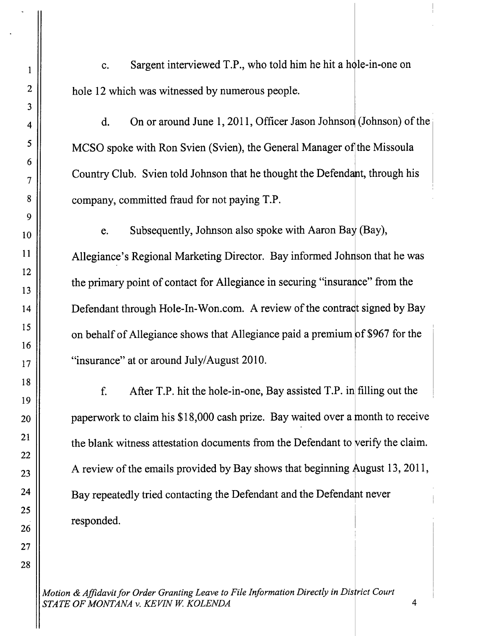c. Sargent interviewed T.P., who told him he hit a hole-in-one on hole 12 which was witnessed by numerous people.

d. On or around June 1, 2011, Officer Jason Johnson (Johnson) of the MCSO spoke with Ron Svien (Svien), the General Manager of the Missoula Country Club. Svien told Johnson that he thought the Defendant, through his company, committed fraud for not paying T.P.

e. Subsequently, Johnson also spoke with Aaron Bay (Bay), Allegiance's Regional Marketing Director. Bay informed Johnson that he was the primary point of contact for Allegiance in securing "insurance" from the Defendant through Hole-In-Won.com. A review of the contract signed by Bay on behalf of Allegiance shows that Allegiance paid a premium of \$967 for the "insurance" at or around July/August 2010.

After T.P. hit the hole-in-one, Bay assisted T.P. in filling out the f. paperwork to claim his \$18,000 cash prize. Bay waited over a month to receive the blank witness attestation documents from the Defendant to verify the claim. A review of the emails provided by Bay shows that beginning August 13, 2011, Bay repeatedly tried contacting the Defendant and the Defend never responded.

Motion & Affidavit for Order Granting Leave to File Information Directly in District Court STATE OF MONTANA V. KEVIN W. KOLENDA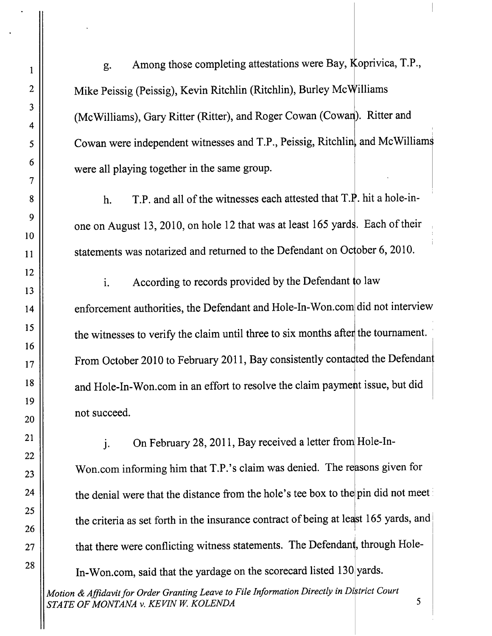g. Among those completing attestations were Bay, Koprivica, T.P., Mike Peissig (Peissig), Kevin Ritchlin (Ritchlin), Burley McWilliams (McWilliams), Gary Ritter (Ritter), and Roger Cowan (Cowan). Ritter and Cowan were independent witnesses and T.P., Peissig, Ritchlin, and McWilliams were all playing together in the same group.

h. T.P. and all of the witnesses each attested that  $T.P$ . hit a hole-inone on August 13, 2010, on hole 12 that was at least 165 yards. Each of their statements was notarized and returned to the Defendant on October 6, 2010.

i. According to records provided by the Defendant to law enforcement authorities, the Defendant and Hole-In-Won.com did not interview the witnesses to verify the claim until three to six months after the tournament. From October 2010 to February 2011, Bay consistently contacted the Defendant and Hole-In-Won.com in an effort to resolve the claim payment issue, but did not succeed.

j. On February 28, 2011, Bay received a letter from Hole-In-Won.com informing him that T.P.'s claim was denied. The reasons given for the denial were that the distance from the hole's tee box to the pin did not meet the criteria as set forth in the insurance contract of being at least 165 yards, and that there were conflicting witness statements. The Defendant, through Hole-In-Won.com, said that the yardage on the scorecard listed 130 yards.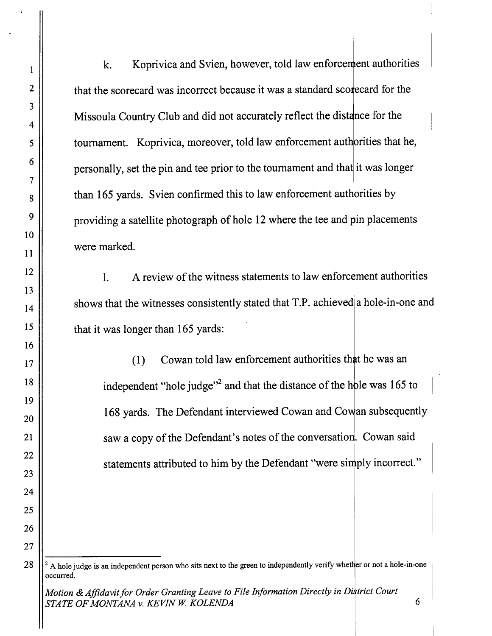k. Koprivica and Svien, however, told law enforcement authorities that the scorecard was incorrect because it was a standard scorecard for the Missoula Country Club and did not accurately reflect the distance for the tournament. Koprivica, moreover, told law enforcement authorities that he. personally, set the pin and tee prior to the tournament and that it was longer than 165 yards. Svien confirmed this to law enforcement authorities by providing a satellite photograph of hole 12 where the tee and pin placements were marked.

l. A review of the witness statements to law enforcement authorities shows that the witnesses consistently stated that T.P. achieved a hole-in-one and that it was longer than 165 yards:

 $(1)$  Cowan told law enforcement authorities that he was an independent "hole judge"<sup>2</sup> and that the distance of the hole was 165 to 168 yards. The Defendant interviewed Cowan and Cowan subsequently saw a copy of the Defendant's notes of the conversation. Cowan said statements attributed to him by the Defendant "were simply incorrect."

 $<sup>2</sup>$  A hole judge is an independent person who sits next to the green to independently verify whether or not a hole-in-one</sup> occurred.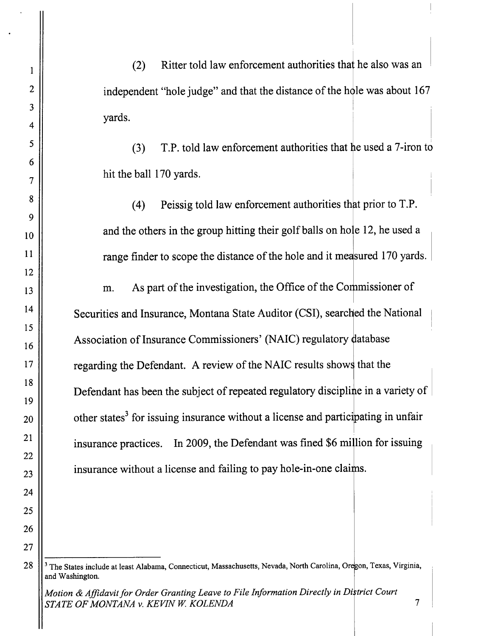Ritter told law enforcement authorities that he also was an  $(2)$ independent "hole judge" and that the distance of the hole was about 167 yards.

(3) T.P. told law enforcement authorities that he used a 7-iron to hit the ball 170 yards.

(4) Peissig told law enforcement authorities that prior to  $T.P$ . and the others in the group hitting their golf balls on hole 12, he used a range finder to scope the distance of the hole and it measured 170 yards.

m. As part of the investigation, the Office of the Commissioner of Securities and Insurance, Montana State Auditor (CSI), searched the National Association of Insurance Commissioners' (NAIC) regulatory database regarding the Defendant. A review of the NAIC results shows that the Defendant has been the subject of repeated regulatory discipline in a variety of other states<sup>3</sup> for issuing insurance without a license and participating in unfair insurance practices. In 2009, the Defendant was fined \$6 million for issuing insurance without a license and failing to pay hole-in-one claims.

<sup>&</sup>lt;sup>3</sup> The States include at least Alabama, Connecticut, Massachusetts, Nevada, North Carolina, Oregon, Texas, Virginia, and Washington.